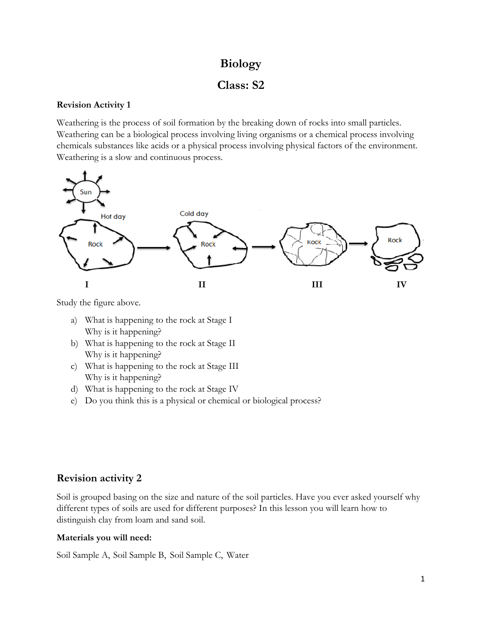# **Biology**

# **Class: S2**

### **Revision Activity 1**

Weathering is the process of soil formation by the breaking down of rocks into small particles. Weathering can be a biological process involving living organisms or a chemical process involving chemicals substances like acids or a physical process involving physical factors of the environment. Weathering is a slow and continuous process.



Study the figure above.

- a) What is happening to the rock at Stage I Why is it happening?
- b) What is happening to the rock at Stage II Why is it happening?
- c) What is happening to the rock at Stage III Why is it happening?
- d) What is happening to the rock at Stage IV
- e) Do you think this is a physical or chemical or biological process?

## **Revision activity 2**

Soil is grouped basing on the size and nature of the soil particles. Have you ever asked yourself why different types of soils are used for different purposes? In this lesson you will learn how to distinguish clay from loam and sand soil.

## **Materials you will need:**

Soil Sample A, Soil Sample B, Soil Sample C, Water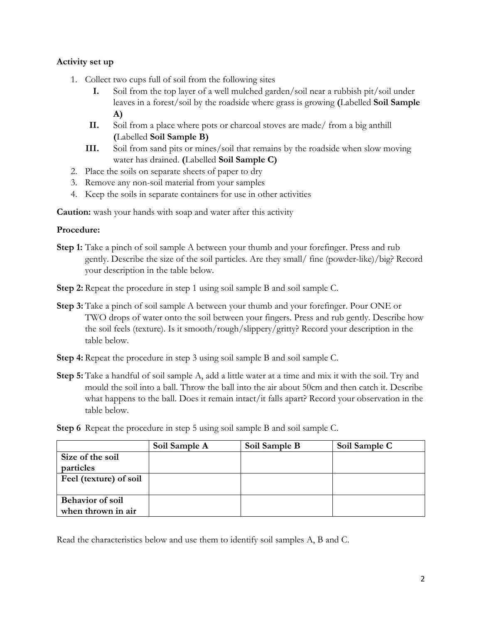### **Activity set up**

- 1. Collect two cups full of soil from the following sites
	- **I.** Soil from the top layer of a well mulched garden/soil near a rubbish pit/soil under leaves in a forest/soil by the roadside where grass is growing **(**Labelled **Soil Sample A)**
	- **II.** Soil from a place where pots or charcoal stoves are made/ from a big anthill **(**Labelled **Soil Sample B)**
	- **III.** Soil from sand pits or mines/soil that remains by the roadside when slow moving water has drained. **(**Labelled **Soil Sample C)**
- 2. Place the soils on separate sheets of paper to dry
- 3. Remove any non-soil material from your samples
- 4. Keep the soils in separate containers for use in other activities

**Caution:** wash your hands with soap and water after this activity

#### **Procedure:**

- **Step 1:** Take a pinch of soil sample A between your thumb and your forefinger. Press and rub gently. Describe the size of the soil particles. Are they small/ fine (powder-like)/big? Record your description in the table below.
- **Step 2:** Repeat the procedure in step 1 using soil sample B and soil sample C.
- **Step 3:** Take a pinch of soil sample A between your thumb and your forefinger. Pour ONE or TWO drops of water onto the soil between your fingers. Press and rub gently. Describe how the soil feels (texture). Is it smooth/rough/slippery/gritty? Record your description in the table below.
- **Step 4:** Repeat the procedure in step 3 using soil sample B and soil sample C.
- **Step 5:** Take a handful of soil sample A, add a little water at a time and mix it with the soil. Try and mould the soil into a ball. Throw the ball into the air about 50cm and then catch it. Describe what happens to the ball. Does it remain intact/it falls apart? Record your observation in the table below.
- **Step 6** Repeat the procedure in step 5 using soil sample B and soil sample C.

|                         | Soil Sample A | Soil Sample B | Soil Sample C |
|-------------------------|---------------|---------------|---------------|
| Size of the soil        |               |               |               |
| particles               |               |               |               |
| Feel (texture) of soil  |               |               |               |
|                         |               |               |               |
| <b>Behavior of soil</b> |               |               |               |
| when thrown in air      |               |               |               |

Read the characteristics below and use them to identify soil samples A, B and C.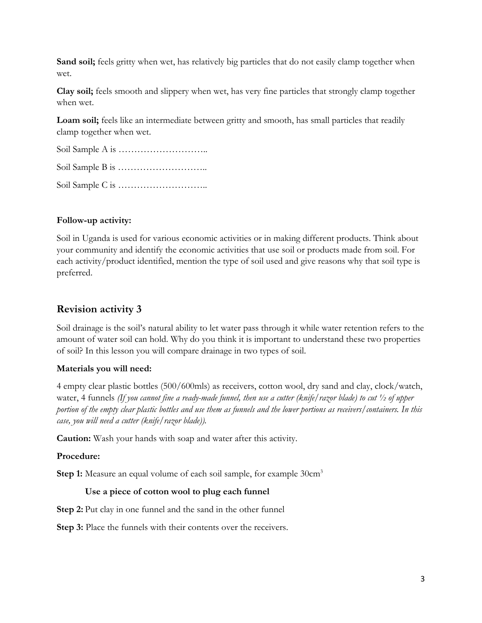**Sand soil;** feels gritty when wet, has relatively big particles that do not easily clamp together when wet.

**Clay soil;** feels smooth and slippery when wet, has very fine particles that strongly clamp together when wet.

**Loam soil;** feels like an intermediate between gritty and smooth, has small particles that readily clamp together when wet.

Soil Sample A is ………………………..

Soil Sample B is ………………………..

Soil Sample C is ………………………..

## **Follow-up activity:**

Soil in Uganda is used for various economic activities or in making different products. Think about your community and identify the economic activities that use soil or products made from soil. For each activity/product identified, mention the type of soil used and give reasons why that soil type is preferred.

## **Revision activity 3**

Soil drainage is the soil's natural ability to let water pass through it while water retention refers to the amount of water soil can hold. Why do you think it is important to understand these two properties of soil? In this lesson you will compare drainage in two types of soil.

## **Materials you will need:**

4 empty clear plastic bottles (500/600mls) as receivers, cotton wool, dry sand and clay, clock/watch, water, 4 funnels *(If you cannot fine a ready-made funnel, then use a cutter (knife/razor blade) to cut ½ of upper portion of the empty clear plastic bottles and use them as funnels and the lower portions as receivers/containers. In this case, you will need a cutter (knife/razor blade)).*

**Caution:** Wash your hands with soap and water after this activity.

## **Procedure:**

**Step 1:** Measure an equal volume of each soil sample, for example 30cm<sup>3</sup>

## **Use a piece of cotton wool to plug each funnel**

**Step 2:** Put clay in one funnel and the sand in the other funnel

**Step 3:** Place the funnels with their contents over the receivers.